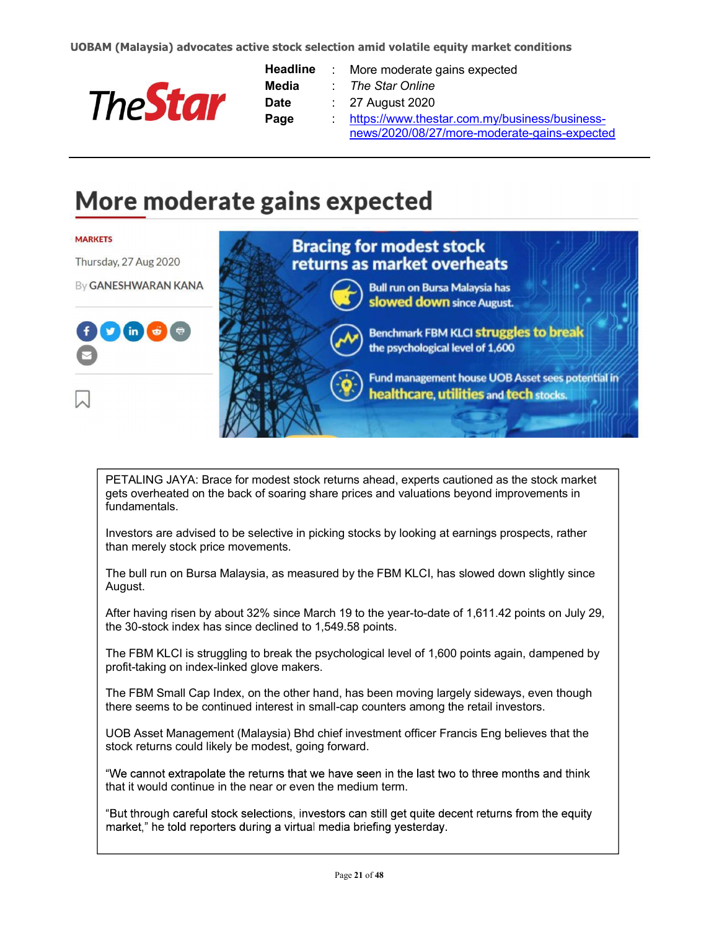

| <b>Headline</b> | $\mathcal{L}^{\mathcal{L}}$ | More moderate gains expected                  |
|-----------------|-----------------------------|-----------------------------------------------|
| Media           |                             | The Star Online                               |
| <b>Date</b>     |                             | $\therefore$ 27 August 2020                   |
| Page            |                             | https://www.thestar.com.my/business/business- |
|                 |                             | news/2020/08/27/more-moderate-gains-expected  |

## More moderate gains expected



PETALING JAYA: Brace for modest stock returns ahead, experts cautioned as the stock market gets overheated on the back of soaring share prices and valuations beyond improvements in fundamentals.

Investors are advised to be selective in picking stocks by looking at earnings prospects, rather than merely stock price movements.

The bull run on Bursa Malaysia, as measured by the FBM KLCI, has slowed down slightly since August.

After having risen by about 32% since March 19 to the year-to-date of 1,611.42 points on July 29, the 30-stock index has since declined to 1,549.58 points.

The FBM KLCI is struggling to break the psychological level of 1,600 points again, dampened by profit-taking on index-linked glove makers.

The FBM Small Cap Index, on the other hand, has been moving largely sideways, even though there seems to be continued interest in small-cap counters among the retail investors.

UOB Asset Management (Malaysia) Bhd chief investment officer Francis Eng believes that the stock returns could likely be modest, going forward.

"We cannot extrapolate the returns that we have seen in the last two to three months and think that it would continue in the near or even the medium term.

"But through careful stock selections, investors can still get quite decent returns from the equity market," he told reporters during a virtual media briefing yesterday.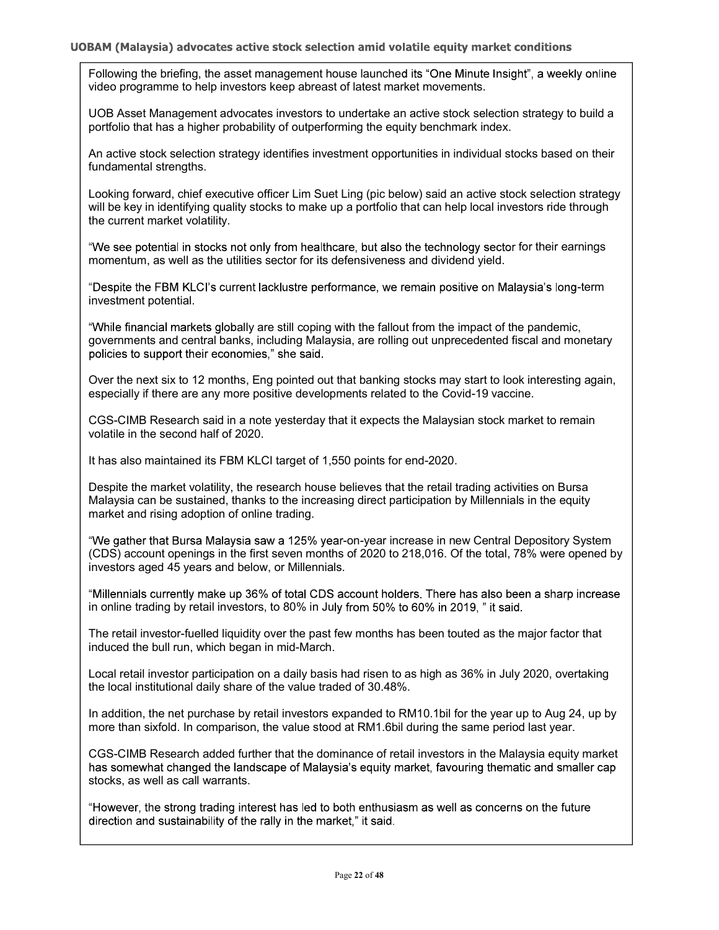Following the briefing, the asset management house launched its "One Minute Insight", a weekly online video programme to help investors keep abreast of latest market movements.

UOB Asset Management advocates investors to undertake an active stock selection strategy to build a portfolio that has a higher probability of outperforming the equity benchmark index.

An active stock selection strategy identifies investment opportunities in individual stocks based on their fundamental strengths.

Looking forward, chief executive officer Lim Suet Ling (pic below) said an active stock selection strategy will be key in identifying quality stocks to make up a portfolio that can help local investors ride through the current market volatility.

"We see potential in stocks not only from healthcare, but also the technology sector for their earnings momentum, as well as the utilities sector for its defensiveness and dividend yield.

"Despite the FBM KLCI's current lacklustre performance, we remain positive on Malaysia's long-term investment potential.

"While financial markets globally are still coping with the fallout from the impact of the pandemic, governments and central banks, including Malaysia, are rolling out unprecedented fiscal and monetary policies to support their economies," she said.

Over the next six to 12 months, Eng pointed out that banking stocks may start to look interesting again, especially if there are any more positive developments related to the Covid-19 vaccine.

CGS-CIMB Research said in a note yesterday that it expects the Malaysian stock market to remain volatile in the second half of 2020.

It has also maintained its FBM KLCI target of 1,550 points for end-2020.

Despite the market volatility, the research house believes that the retail trading activities on Bursa Malaysia can be sustained, thanks to the increasing direct participation by Millennials in the equity market and rising adoption of online trading.

"We gather that Bursa Malaysia saw a 125% year-on-year increase in new Central Depository System (CDS) account openings in the first seven months of 2020 to 218,016. Of the total, 78% were opened by investors aged 45 years and below, or Millennials.

"Millennials currently make up 36% of total CDS account holders. There has also been a sharp increase in online trading by retail investors, to 80% in July from 50% to 60% in 2019, " it said.

The retail investor-fuelled liquidity over the past few months has been touted as the major factor that induced the bull run, which began in mid-March.

Local retail investor participation on a daily basis had risen to as high as 36% in July 2020, overtaking the local institutional daily share of the value traded of 30.48%.

In addition, the net purchase by retail investors expanded to RM10.1bil for the year up to Aug 24, up by more than sixfold. In comparison, the value stood at RM1.6bil during the same period last year.

CGS-CIMB Research added further that the dominance of retail investors in the Malaysia equity market has somewhat changed the landscape of Malaysia's equity market, favouring thematic and smaller cap stocks, as well as call warrants.

"However, the strong trading interest has led to both enthusiasm as well as concerns on the future direction and sustainability of the rally in the market," it said.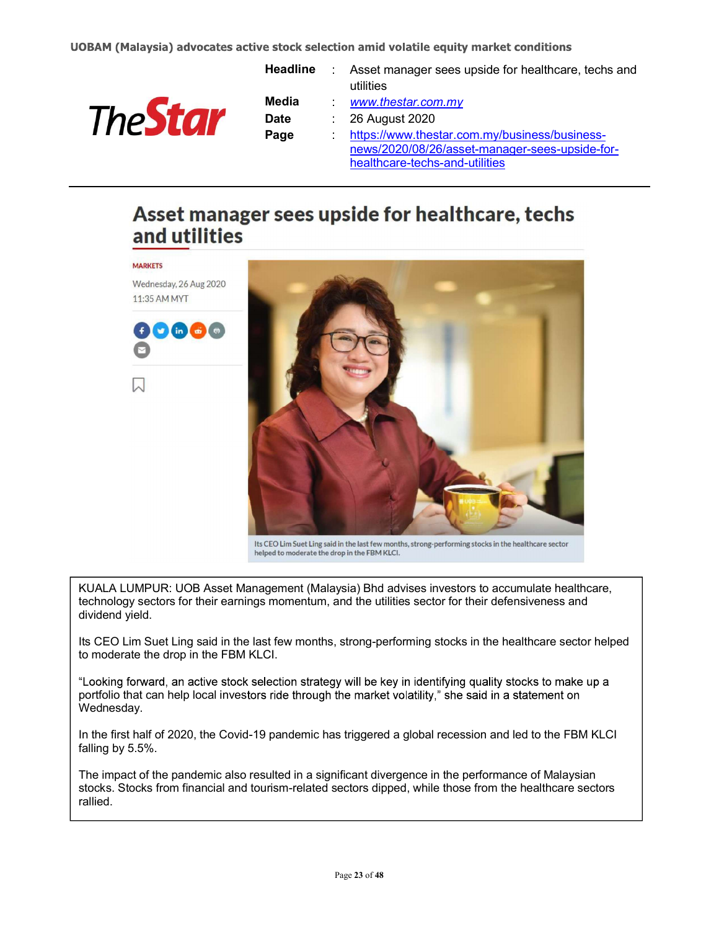

**MARKETS** 

| Headline    |                             | Asset manager sees upside for healthcare, techs and |
|-------------|-----------------------------|-----------------------------------------------------|
|             |                             | utilities                                           |
| Media       |                             | www.thestar.com.my                                  |
| <b>Date</b> | $\mathcal{L}_{\mathcal{A}}$ | 26 August 2020                                      |
| Page        |                             | https://www.thestar.com.my/business/business-       |
|             |                             | news/2020/08/26/asset-manager-sees-upside-for-      |
|             |                             | healthcare-techs-and-utilities                      |
|             |                             |                                                     |

## Asset manager sees upside for healthcare, techs and utilities



Its CEO Lim Suet Ling said in the last few months, strong-performing stocks in the healthcare sector helped to moderate the drop in the FBM KLCI.

KUALA LUMPUR: UOB Asset Management (Malaysia) Bhd advises investors to accumulate healthcare, technology sectors for their earnings momentum, and the utilities sector for their defensiveness and dividend yield.

Its CEO Lim Suet Ling said in the last few months, strong-performing stocks in the healthcare sector helped to moderate the drop in the FBM KLCI.

"Looking forward, an active stock selection strategy will be key in identifying quality stocks to make up a portfolio that can help local investors ride through the market volatility," she said in a statement on Wednesday.

In the first half of 2020, the Covid-19 pandemic has triggered a global recession and led to the FBM KLCI falling by 5.5%.

The impact of the pandemic also resulted in a significant divergence in the performance of Malaysian stocks. Stocks from financial and tourism-related sectors dipped, while those from the healthcare sectors rallied.